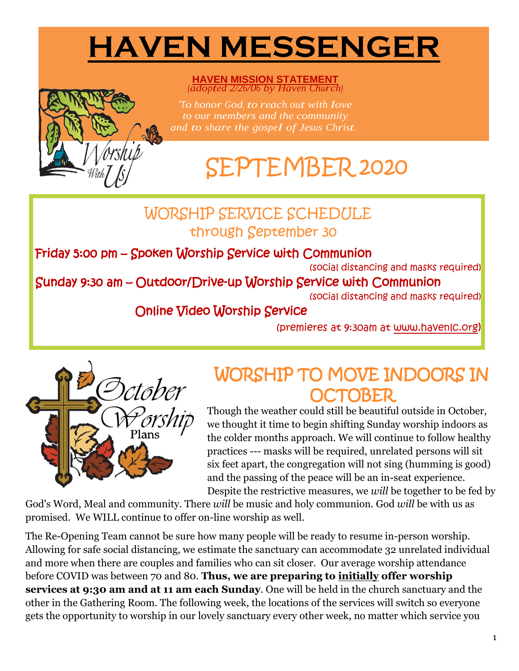# **HAVEN MESSENGER**

**HAVEN MISSION STATEMENT** *(adopted 2/26/06 by Haven Church)*

*"To honor God, to reach out with love to our members and the community and to share the gospel of Jesus Christ.*

# SEPTEMBER 2020

### WORSHIP SERVICE SCHEDULE through September 30

Friday 5:00 pm – Spoken Worship Service with Communion

(social distancing and masks required)

#### Sunday 9:30 am – Outdoor/Drive-up Worship Service with Communion

(social distancing and masks required)

#### Online Video Worship Service

(premieres at 9:30am at [www.havenlc.org](http://www.havenlc.org/))



## WORSHIP TO MOVE INDOORS IN OCTOBER

Though the weather could still be beautiful outside in October, we thought it time to begin shifting Sunday worship indoors as the colder months approach. We will continue to follow healthy practices --- masks will be required, unrelated persons will sit six feet apart, the congregation will not sing (humming is good) and the passing of the peace will be an in-seat experience. Despite the restrictive measures, we *will* be together to be fed by

God's Word, Meal and community. There *will* be music and holy communion. God *will* be with us as promised. We WILL continue to offer on-line worship as well.

The Re-Opening Team cannot be sure how many people will be ready to resume in-person worship. Allowing for safe social distancing, we estimate the sanctuary can accommodate 32 unrelated individual and more when there are couples and families who can sit closer. Our average worship attendance before COVID was between 70 and 80. **Thus, we are preparing to initially offer worship services at 9:30 am and at 11 am each Sunday**. One will be held in the church sanctuary and the other in the Gathering Room. The following week, the locations of the services will switch so everyone gets the opportunity to worship in our lovely sanctuary every other week, no matter which service you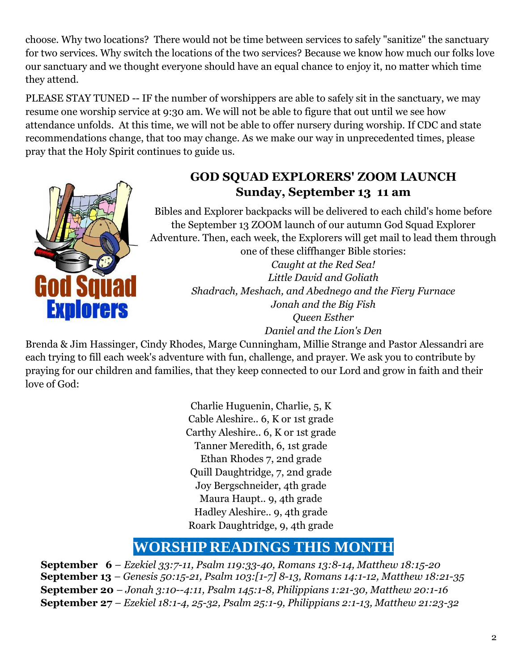choose. Why two locations? There would not be time between services to safely "sanitize" the sanctuary for two services. Why switch the locations of the two services? Because we know how much our folks love our sanctuary and we thought everyone should have an equal chance to enjoy it, no matter which time they attend.

PLEASE STAY TUNED -- IF the number of worshippers are able to safely sit in the sanctuary, we may resume one worship service at 9:30 am. We will not be able to figure that out until we see how attendance unfolds. At this time, we will not be able to offer nursery during worship. If CDC and state recommendations change, that too may change. As we make our way in unprecedented times, please pray that the Holy Spirit continues to guide us.



#### **GOD SQUAD EXPLORERS' ZOOM LAUNCH Sunday, September 13 11 am**

Bibles and Explorer backpacks will be delivered to each child's home before the September 13 ZOOM launch of our autumn God Squad Explorer Adventure. Then, each week, the Explorers will get mail to lead them through one of these cliffhanger Bible stories:

> *Caught at the Red Sea! Little David and Goliath Shadrach, Meshach, and Abednego and the Fiery Furnace Jonah and the Big Fish Queen Esther Daniel and the Lion's Den*

Brenda & Jim Hassinger, Cindy Rhodes, Marge Cunningham, Millie Strange and Pastor Alessandri are each trying to fill each week's adventure with fun, challenge, and prayer. We ask you to contribute by praying for our children and families, that they keep connected to our Lord and grow in faith and their love of God:

> Charlie Huguenin, Charlie, 5, K Cable Aleshire.. 6, K or 1st grade Carthy Aleshire.. 6, K or 1st grade Tanner Meredith, 6, 1st grade Ethan Rhodes 7, 2nd grade Quill Daughtridge, 7, 2nd grade Joy Bergschneider, 4th grade Maura Haupt.. 9, 4th grade Hadley Aleshire.. 9, 4th grade Roark Daughtridge, 9, 4th grade

### **WORSHIP READINGS THIS MONTH**

 **September 6** *– [Ezekiel 33:7-11, Psalm 119:33-40, Romans 13:8-14, Matthew 18:15-20](https://members.sundaysandseasons.com/Home/Index/2020-9-6/0)* **September 13** *– [Genesis 50:15-21, Psalm 103:\[1-7\] 8-13, Romans 14:1-12, Matthew 18:21-35](https://members.sundaysandseasons.com/Home/Index/2020-9-13/0)* **September 20** *– [Jonah 3:10--4:11, Psalm 145:1-8, Philippians 1:21-30, Matthew 20:1-16](https://members.sundaysandseasons.com/Home/Index/2020-9-20/0)* **September 27** *– [Ezekiel 18:1-4, 25-32, Psalm 25:1-9, Philippians 2:1-13, Matthew 21:23-32](https://members.sundaysandseasons.com/Home/Index/2020-9-27/0)*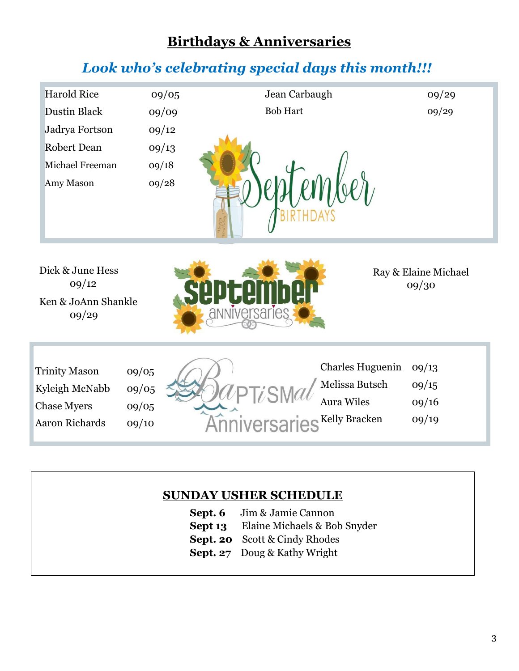#### **Birthdays & Anniversaries**

### *Look who's celebrating special days this month!!!*

| <b>Harold Rice</b> | 09/05 | Jean Carbaugh   | 09/29 |
|--------------------|-------|-----------------|-------|
| Dustin Black       | 09/09 | <b>Bob Hart</b> | 09/29 |
| Jadrya Fortson     | 09/12 |                 |       |
| Robert Dean        | 09/13 |                 |       |
| Michael Freeman    | 09/18 |                 |       |
| Amy Mason          | 09/28 |                 |       |
|                    |       |                 |       |
|                    |       |                 |       |
|                    |       |                 |       |

Dick & June Hess 09/12 Ken & JoAnn Shankle 09/29



Ray & Elaine Michael 09/30

Trinity Mason 09/05 Kyleigh McNabb 09/05 Chase Myers 09/05 Aaron Richards 09/10





#### **SUNDAY USHER SCHEDULE**

- **Sept. 6** Jim & Jamie Cannon
- **Sept 13** Elaine Michaels & Bob Snyder
- **Sept. 20** Scott & Cindy Rhodes
- **Sept. 27** Doug & Kathy Wright